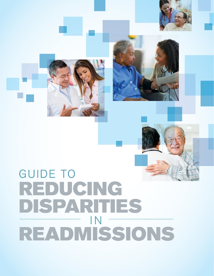







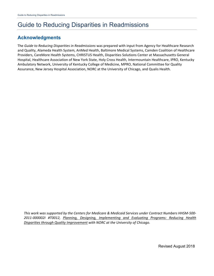## **Acknowledgments**

The *Guide to Reducing Disparities in Readmissions* was prepared with input from Agency for Healthcare Research and Quality, Alameda Health System, AnMed Health, Baltimore Medical Systems, Camden Coalition of Healthcare Providers, CareMore Health Systems, CHRISTUS Health, Disparities Solutions Center at Massachusetts General Hospital, Healthcare Association of New York State, Holy Cross Health, Intermountain Healthcare, IPRO, Kentucky Ambulatory Network, University of Kentucky College of Medicine, MPRO, National Committee for Quality Assurance, New Jersey Hospital Association, NORC at the University of Chicago, and Qualis Health.

*This work was supported by the Centers for Medicare & Medicaid Services under Contract Numbers HHSM-500- 2011-000002I #T0012, Planning, Designing, Implementing and Evaluating Programs: Reducing Health Disparities through Quality Improvement with NORC at the University of Chicago.*

Revised August 2018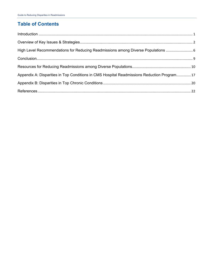## **Table of Contents**

| High Level Recommendations for Reducing Readmissions among Diverse Populations              |  |
|---------------------------------------------------------------------------------------------|--|
|                                                                                             |  |
|                                                                                             |  |
| Appendix A: Disparities in Top Conditions in CMS Hospital Readmissions Reduction Program 17 |  |
|                                                                                             |  |
|                                                                                             |  |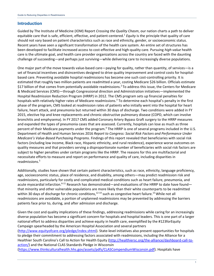## <span id="page-3-0"></span>**Introduction**

Guided by The Institute of Medicine (IOM) Report *Crossing the Quality Chasm*, our nation charts a path to deliver equitable care that is safe, efficient, effective, and patient-centered.1 *Equity* is the principle that quality of care should not vary based on patient characteristics such as race and ethnicity, gender, or socioeconomic status. Recent years have seen a significant transformation of the health care system. An entire set of structures has been developed to facilitate increased access to cost-effective and high-quality care. Pursuing *high-value* health care is the ultimate goal, and health care provider organizations across the country are faced with the daunting challenge of succeeding—and perhaps just surviving—while delivering care to increasingly diverse populations.

One major part of the move towards value-based care—paying for quality, rather than quantity, of services—is a set of financial incentives and disincentives designed to drive quality improvement and control costs for hospitalbased care. Preventing avoidable hospital readmissions has become one such cost-controlling priority. It is estimated that roughly two million patients are readmitted a year, costing Medicare \$26 billion. Officials estimate \$17 billion of that comes from potentially avoidable readmissions.2 To address this issue, the Centers for Medicare & Medicaid Services (CMS)—through Congressional direction and Administration initiatives—implemented the Hospital Readmission Reduction Program (HRRP) in 2012. The CMS program sets up financial penalties for hospitals with relatively higher rates of Medicare readmissions.<sup>3</sup> To determine each hospital's penalty in the first phase of the program, CMS looked at readmission rates of patients who initially went into the hospital for heart failure, heart attack, and pneumonia but returned within 30 days of discharge. Two conditions were added in FY 2015, elective hip and knee replacements and chronic obstructive pulmonary disease (COPD, which can involve bronchitis and emphysema). In FY 2017 CMS added Coronary Artery Bypass Graft surgery to the HRRP measures and expanded the types of pneumonia cases that are assessed. Currently, hospitals can lose as much as three percent of their Medicare payments under the program.<sup>4</sup> The HRRP is one of several programs included in the U.S. Department of Health and Human Services 2016 *Report to Congress: Social Risk Factors and Performance Under Medicare's Value-Based Purchasing Programs*. Findings of this report revealed that beneficiaries with social risk factors (including low income, Black race, Hispanic ethnicity, and rural residence), experience worse outcomes on quality measures and that providers serving a disproportionate number of beneficiaries with social risk factors are subject to higher penalties under certain programs like the HRRP. The reasons for this are multifactorial and necessitate efforts to measure and report on performance and quality of care, including disparities in readmissions.5

Additionally, studies have shown that certain patient characteristics, such as race, ethnicity, language proficiency, age, socioeconomic status, place of residence, and disability, among others—may predict readmission risk and readmissions, particularly for costly and complicated medical conditions such as heart failure, pneumonia, and acute myocardial infarction.<sup>6-11</sup> Research has demonstrated—and evaluations of the HRRP to date have found that minority and other vulnerable populations are more likely than their white counterparts to be readmitted within 30 days of discharge for chronic conditions,  $12-14$  such as congestive heart failure.<sup>15</sup> While not all readmissions are avoidable, a portion of unplanned readmissions may be prevented by addressing the barriers patients face prior to, during, and after admission and discharge.

Given the cost and quality implications of these findings, addressing readmissions while caring for an increasingly diverse population has become a significant concern for hospitals and hospital leaders. This is one part of a larger national effort to address disparities and achieve equity in health care, exemplified by the #123forEquity Campaign spearheaded by the American Hospital Association and several partners [\(http://www.equityofcare.org/pledge/index.shtml\)](http://www.equityofcare.org/pledge/index.shtml). State-level initiatives also present opportunities for hospitals to pledge their commitment to addressing factors associated with readmissions, including the Alliance for a Healthier South Carolina's Call to Action for Health Equity [\(http://healthiersc.org/the-alliance/dashboard-call-to](http://healthiersc.org/the-alliance/dashboard-call-to-action/)[action/\)](http://healthiersc.org/the-alliance/dashboard-call-to-action/) and the National CLAS Standards Pledge in Wisconsin [\(https://www.thinkculturalhealth.hhs.gov/assets/pdfs/CLASCompendiumWisconsin.pdf\)](https://www.thinkculturalhealth.hhs.gov/assets/pdfs/CLASCompendiumWisconsin.pdf). Hospitals have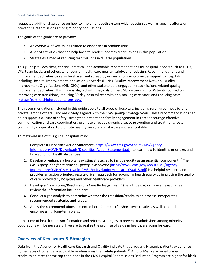requested additional guidance on how to implement both system-wide redesign as well as specific efforts on preventing readmissions among minority populations.

The goals of the guide are to provide:

- An overview of key issues related to disparities in readmissions
- A set of activities that can help hospital leaders address readmissions in this population
- Strategies aimed at reducing readmissions in diverse populations

This guide provides clear, concise, practical, and actionable recommendations for hospital leaders such as CEOs, VPs, team leads, and others who focus on health care quality, safety, and redesign. Recommendations and improvement activities can also be shared and spread by organizations who provide support to hospitals, including Hospital Improvement Innovation Networks (HIINs), Quality Improvement Network-Quality Improvement Organizations (QIN-QIOs), and other stakeholders engaged in readmissions-related quality improvement activities. This guide is aligned with the goals of the CMS Partnership for Patients focused on improving care transitions, reducing 30-day hospital readmissions, making care safer, and reducing costs [\(https://partnershipforpatients.cms.gov/\)](https://partnershipforpatients.cms.gov/).

The recommendations included in this guide apply to all types of hospitals, including rural, urban, public, and private (among others), and are closely aligned with the *CMS Quality Strategy Goals*. These recommendations can help support a culture of safety; strengthen patient and family engagement in care; encourage effective communication and care coordination; promote effective chronic disease prevention and treatment; foster community cooperation to promote healthy living; and make care more affordable.

To maximize use of this guide, hospitals may:

- 1. Complete a Disparities Action Statement [\(https://www.cms.gov/About-CMS/Agency-](https://www.cms.gov/About-CMS/Agency-Information/OMH/Downloads/Disparities-Action-Statement.pdf)[Information/OMH/Downloads/Disparities-Action-Statement.pdf\)](https://www.cms.gov/About-CMS/Agency-Information/OMH/Downloads/Disparities-Action-Statement.pdf) to learn how to identify, prioritize, and take action on health disparities.
- 2. Develop or enhance a hospital's existing strategies to include equity as an essential component.<sup>16</sup> The *CMS Equity Plan for Improving Quality in Medicare* [\(https://www.cms.gov/About-CMS/Agency-](https://www.cms.gov/About-CMS/Agency-Information/OMH/OMH_Dwnld-CMS_EquityPlanforMedicare_090615.pdf)[Information/OMH/OMH\\_Dwnld-CMS\\_EquityPlanforMedicare\\_090615.pdf\)](https://www.cms.gov/About-CMS/Agency-Information/OMH/OMH_Dwnld-CMS_EquityPlanforMedicare_090615.pdf) is a helpful resource and provides an action oriented, results-driven approach for advancing health equity by improving the quality of care provided by hospitals and other healthcare providers.
- 3. Develop a "Transitions/Readmissions Care Redesign Team" (details below) or have an existing team review the information included here.
- 4. Conduct a gap analysis to determine whether the transition/readmission process incorporates recommended strategies and issues.
- 5. Apply the recommendations presented here for impactful short-term results, as well as for allencompassing, long-term plans.

In this time of health care transformation and reform, strategies to prevent readmissions among minority populations will be necessary if we are to realize the promise of value in healthcare going forward.

## <span id="page-4-0"></span>**Overview of Key Issues & Strategies**

Data from the Agency for Healthcare Research and Quality indicate that black and Hispanic patients experience higher rates of potentially avoidable readmissions than white patients.<sup>17</sup> Among Medicare beneficiaries, readmission rates for the top conditions in the CMS Hospital Readmissions Reduction Program are higher for black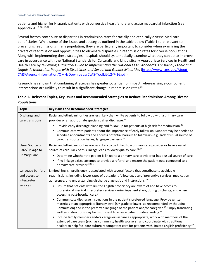patients and higher for Hispanic patients with congestive heart failure and acute myocardial infarction (see Appendix A). 7,18, 19-22

Several factors contribute to disparities in readmission rates for racially and ethnically diverse Medicare beneficiaries. While some of the issues and strategies outlined in the table below (Table 1) are relevant to preventing readmissions in any population, they are particularly important to consider when examining the drivers of readmission and opportunities to eliminate disparities in readmission rates for diverse populations. Along with implementing these strategies, hospitals should systematically examine what they can do to improve care in accordance with the National Standards for Culturally and Linguistically Appropriate Services in Health and Health Care by reviewing *A Practical Guide to Implementing the National CLAS Standards: For Racial, Ethnic and Linguistic Minorities, People with Disabilities and Sexual and Gender Minorities* [\(https://www.cms.gov/About-](https://www.cms.gov/About-CMS/Agency-Information/OMH/Downloads/CLAS-Toolkit-12-7-16.pdf)[CMS/Agency-Information/OMH/Downloads/CLAS-Toolkit-12-7-16.pdf\)](https://www.cms.gov/About-CMS/Agency-Information/OMH/Downloads/CLAS-Toolkit-12-7-16.pdf).

Research has shown that combining strategies has greater potential for impact, whereas single-component interventions are unlikely to result in a significant change in readmission rates.<sup>23</sup>

## **Table 1. Relevant Topics, Key Issues and Recommended Strategies to Reduce Readmissions Among Diverse Populations**

| <b>Topic</b>        | <b>Key Issues and Recommended Strategies</b>                                                                                                                                                                                                                                                                                                                                                                              |
|---------------------|---------------------------------------------------------------------------------------------------------------------------------------------------------------------------------------------------------------------------------------------------------------------------------------------------------------------------------------------------------------------------------------------------------------------------|
| Discharge and       | Racial and ethnic minorities are less likely than white patients to follow up with a primary care                                                                                                                                                                                                                                                                                                                         |
| care transitions    | provider or an appropriate specialist after discharge. <sup>24</sup>                                                                                                                                                                                                                                                                                                                                                      |
|                     | • Provide early discharge planning and follow-up for patients at high risk for readmission. <sup>25</sup>                                                                                                                                                                                                                                                                                                                 |
|                     | • Communicate with patients about the importance of early follow-up. Support may be needed to<br>schedule appointments and address potential barriers to follow-up (e.g., lack of usual source of<br>care, transportation issues, language barriers). <sup>26</sup>                                                                                                                                                       |
| Usual Source of     | Racial and ethnic minorities are less likely to be linked to a primary care provider or have a usual                                                                                                                                                                                                                                                                                                                      |
| Care/Linkage to     | source of care. Lack of this linkage leads to lower quality care. <sup>27-29</sup>                                                                                                                                                                                                                                                                                                                                        |
| <b>Primary Care</b> | Determine whether the patient is linked to a primary care provider or has a usual source of care.<br>$\bullet$                                                                                                                                                                                                                                                                                                            |
|                     | If no linkage exists, attempt to provide a referral and ensure the patient gets connected to a<br>$\bullet$<br>primary care provider. 30,31                                                                                                                                                                                                                                                                               |
| Language barriers   | Limited English proficiency is associated with several factors that contribute to avoidable                                                                                                                                                                                                                                                                                                                               |
| and access to       | readmissions, including lower rates of outpatient follow-up, use of preventive services, medication                                                                                                                                                                                                                                                                                                                       |
| interpreter         | adherence, and understanding discharge diagnosis and instructions. <sup>32,33</sup>                                                                                                                                                                                                                                                                                                                                       |
| services            | Ensure that patients with limited English proficiency are aware of and have access to<br>$\bullet$                                                                                                                                                                                                                                                                                                                        |
|                     | professional medical interpreter services during inpatient stays, during discharge, and when<br>accessing post-hospital care. <sup>34</sup>                                                                                                                                                                                                                                                                               |
|                     | Communicate discharge instructions in the patient's preferred language. Provide written<br>$\bullet$<br>materials at an appropriate literacy level (5 <sup>th</sup> grade or lower, as recommended by the Joint<br>Commission) and in the preferred language of the patient and/or caregiver. <sup>35</sup> Simply translating<br>written instructions may be insufficient to ensure patient understanding. <sup>36</sup> |
|                     | Include family members and/or caregivers in care as appropriate, work with members of the<br>$\bullet$<br>extended care team (such as community health workers), and coordinate with traditional<br>healers to help facilitate culturally competent care for patients with limited English proficiency. <sup>37</sup>                                                                                                     |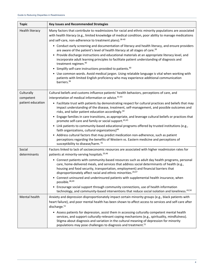| <b>Topic</b>           | <b>Key Issues and Recommended Strategies</b>                                                                                                                                                                                                                                                                                                                            |
|------------------------|-------------------------------------------------------------------------------------------------------------------------------------------------------------------------------------------------------------------------------------------------------------------------------------------------------------------------------------------------------------------------|
| <b>Health literacy</b> | Many factors that contribute to readmissions for racial and ethnic minority populations are associated<br>with health literacy (e.g., limited knowledge of medical condition, poor ability to manage medications<br>and self-care, non-adherence to treatment plans). 38-40                                                                                             |
|                        | • Conduct early screening and documentation of literacy and health literacy, and ensure providers<br>are aware of the patient's level of health literacy at all stages of care. <sup>39</sup>                                                                                                                                                                           |
|                        | • Provide discharge instructions and educational materials at an appropriate literacy level, and<br>incorporate adult learning principles to facilitate patient understanding of diagnosis and<br>treatment regimen. <sup>40</sup>                                                                                                                                      |
|                        | • Simplify self-care instructions provided to patients. <sup>40</sup>                                                                                                                                                                                                                                                                                                   |
|                        | • Use common words. Avoid medical jargon. Using relatable language is vital when working with<br>patients with limited English proficiency who may experience additional communication<br>barriers. <sup>36</sup>                                                                                                                                                       |
| Culturally             | Cultural beliefs and customs influence patients' health behaviors, perceptions of care, and                                                                                                                                                                                                                                                                             |
| competent              | interpretation of medical information or advice. <sup>41-43</sup>                                                                                                                                                                                                                                                                                                       |
| patient education      | • Facilitate trust with patients by demonstrating respect for cultural practices and beliefs that may<br>impact understanding of the disease, treatment, self-management, and possible outcomes and<br>risks, and tailor patient education accordingly. <sup>44</sup>                                                                                                   |
|                        | • Engage families in care transitions, as appropriate, and leverage cultural beliefs or practices that<br>promote self-care and family or social support. <sup>43,45</sup>                                                                                                                                                                                              |
|                        | • Link patients to community-based educational programs offered by trusted institutions (e.g.,<br>faith organizations, cultural organizations) <sup>44</sup>                                                                                                                                                                                                            |
|                        | • Address cultural factors that may predict medication non-adherence, such as patient<br>perceptions regarding the benefits of Western vs. Eastern medicine and perceptions of<br>susceptibility to disease/harm. 41                                                                                                                                                    |
| Social<br>determinants | Factors linked to lack of socioeconomic resources are associated with higher readmission rates for<br>patients at minority-serving hospitals. <sup>20,46</sup>                                                                                                                                                                                                          |
|                        | • Connect patients with community-based resources such as adult day health programs, personal<br>care, home-delivered meals, and services that address social determinants of health (e.g.,<br>housing and food security, transportation, employment) and financial barriers that<br>disproportionately affect racial and ethnic minorities. <sup>20,47</sup>           |
|                        | Connect uninsured and underinsured patients with supplemental health insurance, when<br>possible. <sup>48,49</sup>                                                                                                                                                                                                                                                      |
|                        | • Encourage social support through community connections, use of health information<br>technology, and community-based interventions that reduce social isolation and loneliness. <sup>43,50</sup>                                                                                                                                                                      |
| Mental health          | Anxiety and depression disproportionately impact certain minority groups (e.g., black patients with                                                                                                                                                                                                                                                                     |
|                        | heart failure), and poor mental health has been shown to affect access to services and self-care after                                                                                                                                                                                                                                                                  |
|                        | discharge. <sup>51</sup>                                                                                                                                                                                                                                                                                                                                                |
|                        | • Assess patients for depression, assist them in accessing culturally competent mental health<br>services, and support culturally-relevant coping mechanisms (e.g., spirituality, mindfulness).<br>Stigma about diagnosis and variation in the cultural meaning of depression for minority<br>populations may pose challenges to diagnosis and treatment. <sup>51</sup> |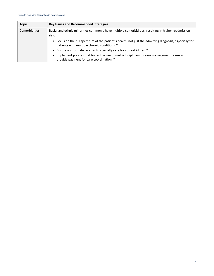| <b>Topic</b>  | <b>Key Issues and Recommended Strategies</b>                                                                                                                       |
|---------------|--------------------------------------------------------------------------------------------------------------------------------------------------------------------|
| Comorbidities | Racial and ethnic minorities commonly have multiple comorbidities, resulting in higher readmission<br>risk.                                                        |
|               | • Focus on the full spectrum of the patient's health, not just the admitting diagnosis, especially for<br>patients with multiple chronic conditions. <sup>52</sup> |
|               | • Ensure appropriate referral to specialty care for comorbidities. <sup>53</sup>                                                                                   |
|               | • Implement policies that foster the use of multi-disciplinary disease management teams and<br>provide payment for care coordination. <sup>53</sup>                |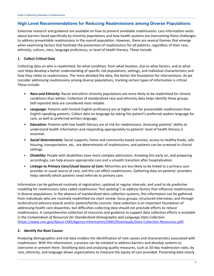## <span id="page-8-0"></span>**High Level Recommendations for Reducing Readmissions among Diverse Populations**

Extensive research and guidance are available on how to prevent avoidable readmissions. Less information exists about barriers faced specifically by minority populations and how health systems are overcoming these challenges to address preventable readmissions in the overall population. However, there are several themes that emerge when examining factors that facilitate the prevention of readmissions for *all* patients, regardless of their race, ethnicity, culture, class, language proficiency, or level of health literacy. These include:

## **1. Collect Critical Data**

Collecting data on who is readmitted, for what condition, from what location, due to what factors, and at what cost helps develop a better understanding of specific risk populations, settings, and individual characteristics and how they relate to readmissions. The more detailed the data, the better the foundation for interventions. As we consider addressing readmissions among diverse populations, tracking certain types of information is critical. These include:

- *Race and Ethnicity***:** Racial and ethnic minority populations are more likely to be readmitted for chronic conditions than whites. Collection of standardized race and ethnicity data helps identify these groups. Self-reported data are considered most reliable.
- *Language***:** Patients with limited-English proficiency are at higher risk for preventable readmission than English-speaking patients. Collect data on language by asking the patient's preferred spoken language for care, as well as preferred written language.
- *Education:* Patients with low health literacy are at risk for readmissions. Assessing patients' ability to understand health information and responding appropriately to patients' level of health literacy is essential.
- *Social Determinants:* Social supports, home and community-based services, access to healthy foods, safe housing, transportation, etc., are determinants of readmissions, and patients can be screened in clinical settings.
- *Disability:* People with disabilities have more complex admissions. Knowing this early on, and preparing accordingly, can help ensure appropriate care and a smooth transition after hospitalization.
- *Linkage to Primary Care/Usual Source of Care:* Minorities are less likely to be linked to a primary care provider or usual source of care, and this can affect readmissions. Gathering data on patients' providers helps identify which patients need referrals to primary care.

Information can be gathered routinely at registration, updated at regular intervals, and used to do predictive modeling for readmissions (also called readmission "hot spotting") to address factors that influence readmissions in diverse populations. In the absence of standardized data collection systems, this information can be gathered from individuals who are routinely readmitted via chart review, focus groups, structured interviews, and through multicultural advisory boards and/or patient/family councils. Data collection is an important foundation of addressing health care disparities, but difficulties collecting data should not preclude efforts to reduce readmissions. A comprehensive collection of resources and guidance to support data collection efforts is available in the *Compendium of Resources for Standardized Demographic and Language Data Collection* [\(https://www.cms.gov/About-CMS/Agency-Information/OMH/Downloads/Data-Collection-Resources.pdf\)](https://www.cms.gov/About-CMS/Agency-Information/OMH/Downloads/Data-Collection-Resources.pdf).

## **2. Identify the Root Causes**

Analyzing demographics and risk data enables the identification of root causes and characteristics associated with readmission. With this information, a process can be initiated to address barriers and develop systems to overcome or prevent them. Stratifying data and analyzing quality measures, such as 30-day readmission rates, by race, ethnicity, and language allows organizations to measure the equity of care provided. Presenting data clearly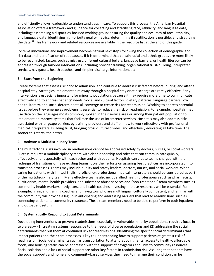and efficiently allows leadership to understand gaps in care. To support this process, the American Hospital Association offers a framework and guidance for collecting and stratifying race, ethnicity, and language data, including: assembling a disparities-focused working group; ensuring the quality and accuracy of race, ethnicity, and language data; identifying high-priority quality metrics; determining if stratification is possible; and stratifying the data.<sup>54</sup> This framework and related resources are available in the resource list at the end of this guide.

Systems innovations and improvement become natural next steps following the collection of demographic and risk data and identification of root causes. If it is determined that certain racial and ethnic groups are more likely to be readmitted, factors such as mistrust, different cultural beliefs, language barriers, or health literacy can be addressed through tailored interventions, including provider training, organizational trust-building, interpreter services, navigators, health coaches, and simpler discharge information, etc.

## **3. Start from the Beginning**

Create systems that assess risk prior to admission, and continue to address risk factors before, during, and after a hospital stay. Strategies implemented midway through a hospital stay or at discharge are rarely effective. Early intervention is especially important for minority populations because it may require more time to communicate effectively and to address patients' needs. Social and cultural factors, dietary patterns, language barriers, low health literacy, and social determinants all converge to create risk for readmission. Working to address potential issues before they emerge as problems is essential to reduce the risk of readmission. For example, hospitals may use data on the languages most commonly spoken in their service area or among their patient population to implement or improve systems that facilitate the use of interpreter services. Hospitals may also address risks associated with language barriers by training providers and staff on how to work effectively with professional medical interpreters. Building trust, bridging cross-cultural divides, and effectively educating all take time. The sooner this starts, the better.

## **4. Activate a Multidisciplinary Team**

The multifactorial risks involved in readmissions cannot be addressed solely by doctors, nurses, or social workers. Success requires a multidisciplinary team with clear leadership and roles that can communicate quickly, effectively, and respectfully with each other and with patients. Hospitals can create teams charged with the redesign of transitions or have existing teams focus their efforts on assuring best practices are incorporated into transition processes. Teams may include quality and safety leaders, doctors, nurses, and social workers. When caring for patients with limited English proficiency, professional medical interpreters should be considered as part of the multidisciplinary team. Many effective teams also include allied health professionals such as pharmacists, nutritionists, mental health providers, and substance abuse services and "non-traditional" team members such as community health workers, navigators, and health coaches. Investing in these resources will be essential. For example, hiring and training coaches and navigators who are multilingual, culturally competent, and familiar with the community will provide a leg up in anticipating and addressing barriers that lead to readmissions such as connecting patients to community resources. These team members need to be able to perform in both inpatient and outpatient setting.

## **5. Systematically Respond to Social Determinants**

Developing interventions to prevent readmissions, especially in vulnerable minority populations, requires focus in two areas— (1) creating systems responsive to the needs of diverse populations and (2) addressing the social determinants that put them at continued risk for readmissions. Identifying the specific social determinants that impact patients and their care processes is key to understanding how to support patients at greatest risk of readmission. Social determinants such as transportation to attend appointments; access to healthy, affordable foods; and housing status can be addressed with the support of navigators and links to community resources. Social isolation and a lack of social support are other key factors in readmission risk. Assuring that patients have the social supports and home and community-based services they need to manage their condition can be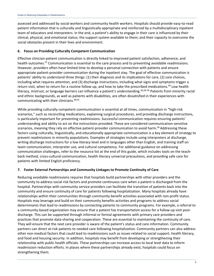assessed and addressed by social workers and community health workers. Hospitals should provide easy-to-read patient information that is culturally and linguistically appropriate and reinforced by a multidisciplinary inpatient team of educators and interpreters. In the end, a patient's ability to engage in their care is influenced by their clinical, physical, and emotional status; the support system available to them; and their capacity to overcome the social obstacles present in their lives and environment.

### **6. Focus on Providing Culturally Competent Communication**

Effective clinician-patient communication is directly linked to improved patient satisfaction, adherence, and health outcomes.<sup>55</sup> Communication is essential to the care process and to preventing avoidable readmissions. However, providers often have limited time to develop a personal connection with patients and ensure appropriate patient-provider communication during the inpatient stay. The goal of effective communication is patients' ability to understand three things: (1) their diagnosis and its implications for care, (2) care choices, including what requires attention, and (3) discharge instructions, including what signs and symptoms trigger a return visit, when to return for a routine follow-up, and how to take the prescribed medications.<sup>36</sup> Low health literacy, mistrust, or language barriers can influence a patient's understanding.<sup>36,56-59</sup> Patients from minority racial and ethnic backgrounds, as well as patients with disabilities, are often dissatisfied in their experiences with communicating with their clinicians.<sup>60,61</sup>

While providing culturally competent communication is essential at all times, communication in "high-risk scenarios," such as reconciling medications, explaining surgical procedures, and providing discharge instructions, is particularly important for preventing readmissions. Successful communication requires ensuring patients' understanding and ability to act on the instructions provided. These are considered communication-sensitive scenarios, meaning they rely on effective patient-provider communication to avoid harm.<sup>36</sup> Addressing these factors using culturally, linguistically, and educationally appropriate communication is a key element of strategy to prevent readmissions in minority populations. Examples of strategies include using interpreters at discharge, writing discharge instructions for a low literacy level and in languages other than English, and training staff on team communication, interpreter use, and cultural competency. For additional guidance on addressing communication challenges, refer to the resource list at the end of this guide, which includes tools on the teachback method, cross-cultural communication, health literacy universal precautions, and providing safe care for patients with limited English proficiency.

## **7. Foster External Partnerships and Community Linkages to Promote Continuity of Care**

Reducing avoidable readmissions requires that hospitals build partnerships with other providers and the community to address social risk factors and promote continuous care when a patient is discharged from the hospital. Partnerships with community service providers can facilitate the transition of patients back into the community and ensure continuity of care for patients following hospitalization. Many hospitals already have relationships within their communities through community benefit activities associated with non-profit status. Hospitals may leverage and build on their community benefits activities and programs to address social determinants that lead to readmissions by connecting patients to community programs. For example, a referral to a community-based organization may ensure that a patient has transportation access for a follow-up visit postdischarge. This can be supported through informal or formal agreements with primary care providers and practices that promote data-sharing and cooperation. These are essential to maintaining the continuity of care. They will ensure that the next care provider is aware of the patient's status and care information. Community partners can direct at-risk patients to needed care following hospitalization. Community partners can also address other non-medical factors that could lead to readmissions such as issues related to social support, health literacy, and food and housing security. In addition, hospitals may benefit from developing or strengthening their relationship with public health officials. These partnerships can increase access to local level data to inform readmission reduction efforts. In places where these partnerships already exist, hospitals could focus on strengthening them.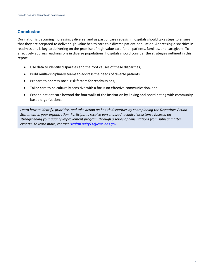## <span id="page-11-0"></span>**Conclusion**

Our nation is becoming increasingly diverse, and as part of care redesign, hospitals should take steps to ensure that they are prepared to deliver high-value health care to a diverse patient population. Addressing disparities in readmissions is key to delivering on the promise of high-value care for all patients, families, and caregivers. To effectively address readmissions in diverse populations, hospitals should consider the strategies outlined in this report:

- Use data to identify disparities and the root causes of these disparities,
- Build multi-disciplinary teams to address the needs of diverse patients,
- Prepare to address social risk factors for readmissions,
- Tailor care to be culturally sensitive with a focus on effective communication, and
- Expand patient care beyond the four walls of the institution by linking and coordinating with community based organizations.

*Learn how to identify, prioritize, and take action on health disparities by championing the Disparities Action Statement in your organization. Participants receive personalized technical assistance focused on strengthening your quality improvement program through a series of consultations from subject matter experts. To learn more, contact [HealthEquityTA@cms.hhs.gov.](mailto:HealthEquityTA@cms.hhs.gov)*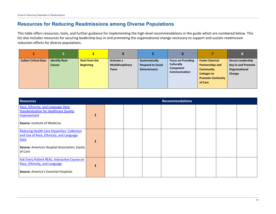## **Resources for Reducing Readmissions among Diverse Populations**

This table offers resources, tools, and further guidance for implementing the high-level recommendations in the guide which are numbered below. This list also includes resources for securing leadership buy-in and promoting the organizational change necessary to support and sustain readmission reduction efforts for diverse populations.

|                              |                                       |                                           | 4                                              |                                                                   |                                                                                     |                                                                                                                              |                                                                                   |
|------------------------------|---------------------------------------|-------------------------------------------|------------------------------------------------|-------------------------------------------------------------------|-------------------------------------------------------------------------------------|------------------------------------------------------------------------------------------------------------------------------|-----------------------------------------------------------------------------------|
| <b>Collect Critical Data</b> | <b>Identify Root</b><br><b>Causes</b> | <b>Start from the</b><br><b>Beginning</b> | Activate a<br>Multidisciplinary<br><b>Team</b> | Systematically<br><b>Respond to Social</b><br><b>Determinants</b> | <b>Focus on Providing</b><br><b>Culturally</b><br>Competent<br><b>Communication</b> | <b>Foster External</b><br><b>Partnerships and</b><br><b>Community</b><br>Linkages to<br><b>Promote Continuity</b><br>of Care | <b>Secure Leadership</b><br><b>Buy-in and Promote</b><br>Organizational<br>Change |

<span id="page-12-0"></span>

| <b>Resources</b>                                                                                                                                                           | <b>Recommendations</b> |  |  |  |  |  |  |  |
|----------------------------------------------------------------------------------------------------------------------------------------------------------------------------|------------------------|--|--|--|--|--|--|--|
| Race, Ethnicity, and Language Data:<br><b>Standardization for Healthcare Quality</b><br>Improvement<br><b>Source: Institute of Medicine</b>                                |                        |  |  |  |  |  |  |  |
| <b>Reducing Health Care Disparities: Collection</b><br>and Use of Race, Ethnicity, and Language<br><b>Data</b><br>Source: American Hospital Association, Equity<br>of Care |                        |  |  |  |  |  |  |  |
| Ask Every Patient REAL: Interactive Course on<br>Race, Ethnicity, and Language<br><b>Source: America's Essential Hospitals</b>                                             | 1                      |  |  |  |  |  |  |  |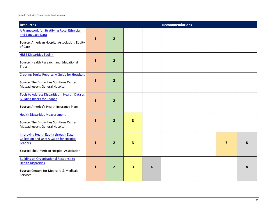| <b>Resources</b>                                                                                                                                              |              |                |                         |   | <b>Recommendations</b> |                |   |
|---------------------------------------------------------------------------------------------------------------------------------------------------------------|--------------|----------------|-------------------------|---|------------------------|----------------|---|
| A Framework for Stratifying Race, Ethnicity,<br>and Language Data<br>Source: American Hospital Association, Equity<br>of Care                                 | $\mathbf{1}$ | $\overline{2}$ |                         |   |                        |                |   |
| <b>HRET Disparities Toolkit</b><br>Source: Health Research and Educational<br>Trust                                                                           | $\mathbf{1}$ | 2 <sup>2</sup> |                         |   |                        |                |   |
| <b>Creating Equity Reports: A Guide for Hospitals</b><br>Source: The Disparities Solutions Center,<br>Massachusetts General Hospital                          | $\mathbf{1}$ | $\overline{2}$ |                         |   |                        |                |   |
| Tools to Address Disparities in Health: Data as<br><b>Building Blocks for Change</b><br>Source: America's Health Insurance Plans                              | $\mathbf{1}$ | $\overline{2}$ |                         |   |                        |                |   |
| <b>Health Disparities Measurement</b><br>Source: The Disparities Solutions Center,<br>Massachusetts General Hospital                                          | $\mathbf{1}$ | $\overline{2}$ | $\overline{\mathbf{3}}$ |   |                        |                |   |
| <b>Improving Health Equity through Data</b><br><b>Collection and Use: A Guide for Hospital</b><br>Leaders<br><b>Source:</b> The American Hospital Association | $\mathbf{1}$ | $\overline{2}$ | 3                       |   |                        | $\overline{7}$ | 8 |
| <b>Building an Organizational Response to</b><br><b>Health Disparities</b><br>Source: Centers for Medicare & Medicaid<br>Services                             | $\mathbf{1}$ | $\overline{2}$ | 3                       | 4 |                        |                | 8 |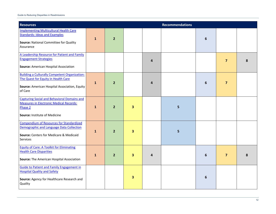| <b>Resources</b>                                                                                                                                        |              |                |   |   | <b>Recommendations</b> |                  |                         |   |
|---------------------------------------------------------------------------------------------------------------------------------------------------------|--------------|----------------|---|---|------------------------|------------------|-------------------------|---|
| <b>Implementing Multicultural Health Care</b><br><b>Standards: Ideas and Examples</b><br>Source: National Committee for Quality<br>Assurance            | $\mathbf{1}$ | $\overline{2}$ |   |   |                        | 6                |                         |   |
| A Leadership Resource for Patient and Family<br><b>Engagement Strategies</b><br>Source: American Hospital Association                                   |              |                |   | 4 |                        |                  | $\overline{\mathbf{z}}$ | 8 |
| <b>Building a Culturally Competent Organization:</b><br>The Quest for Equity in Health Care<br>Source: American Hospital Association, Equity<br>of Care | $\mathbf{1}$ | $\overline{2}$ |   | 4 |                        | 6                | $\overline{\mathbf{z}}$ |   |
| <b>Capturing Social and Behavioral Domains and</b><br><b>Measures in Electronic Medical Records:</b><br>Phase 2<br>Source: Institute of Medicine        | 1            | $\overline{2}$ | 3 |   | 5                      |                  |                         |   |
| <b>Compendium of Resources for Standardized</b><br>Demographic and Language Data Collection<br>Source: Centers for Medicare & Medicaid<br>Services      | $\mathbf{1}$ | $\overline{2}$ | 3 |   | 5                      |                  |                         |   |
| <b>Equity of Care: A Toolkit for Eliminating</b><br><b>Health Care Disparities</b><br><b>Source:</b> The American Hospital Association                  | $\mathbf{1}$ | $\overline{2}$ | 3 | 4 |                        | $6\phantom{1}$   | $\overline{\mathbf{z}}$ | 8 |
| <b>Guide to Patient and Family Engagement in</b><br><b>Hospital Quality and Safety</b><br>Source: Agency for Healthcare Research and<br>Quality         |              |                | 3 |   |                        | $\boldsymbol{6}$ |                         |   |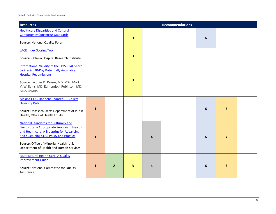| <b>Resources</b>                                                                                                                                                                                                                                                                   |              |                |                         |   | <b>Recommendations</b> |   |                |  |
|------------------------------------------------------------------------------------------------------------------------------------------------------------------------------------------------------------------------------------------------------------------------------------|--------------|----------------|-------------------------|---|------------------------|---|----------------|--|
| <b>Healthcare Disparities and Cultural</b><br><b>Competency Consensus Standards</b><br><b>Source: National Quality Forum</b>                                                                                                                                                       |              |                | 3                       |   |                        | 6 |                |  |
| <b>LACE Index Scoring Tool</b><br>Source: Ottawa Hospital Research Institute                                                                                                                                                                                                       |              |                | $\overline{\mathbf{3}}$ |   |                        |   |                |  |
| <b>International Validity of the HOSPITAL Score</b><br>to Predict 30-Day Potentially Avoidable<br><b>Hospital Readmissions</b><br>Source: Jacques D. Donzé, MD, MSc; Mark<br>V. Williams, MD; Edmondo J. Robinson, MD,<br>MBA, MSHP.                                               |              |                | $\overline{\mathbf{3}}$ |   |                        |   |                |  |
| Making CLAS Happen: Chapter 3 - Collect<br><b>Diversity Data</b><br>Source: Massachusetts Department of Public<br>Health, Office of Health Equity                                                                                                                                  | $\mathbf{1}$ |                |                         |   |                        | 6 | $\overline{7}$ |  |
| <b>National Standards for Culturally and</b><br><b>Linguistically Appropriate Services in Health</b><br>and Healthcare: A Blueprint for Advancing<br>and Sustaining CLAS Policy and Practice<br>Source: Office of Minority Health, U.S.<br>Department of Health and Human Services | $\mathbf{1}$ |                |                         | 4 |                        | 6 | $\overline{7}$ |  |
| <b>Multicultural Health Care: A Quality</b><br><b>Improvement Guide</b><br>Source: National Committee for Quality<br>Assurance                                                                                                                                                     | $\mathbf{1}$ | $\overline{2}$ | $\overline{\mathbf{3}}$ | 4 |                        | 6 | $\overline{7}$ |  |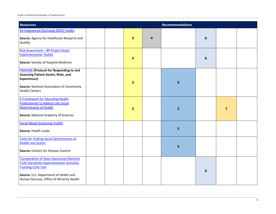| <b>Resources</b>                                                                                                                                                                                                    |              |   | <b>Recommendations</b> |                  |                |  |
|---------------------------------------------------------------------------------------------------------------------------------------------------------------------------------------------------------------------|--------------|---|------------------------|------------------|----------------|--|
| Re-Engineered Discharge (RED) Toolkit<br>Source: Agency for Healthcare Research and<br>Quality                                                                                                                      | $\mathbf{3}$ | 4 |                        | $6\phantom{1}6$  |                |  |
| Risk Assessment - 8P Project Boost<br><b>Implementation Toolkit</b><br>Source: Society of Hospital Medicine                                                                                                         | 3            |   |                        | $\boldsymbol{6}$ |                |  |
| <b>PRAPARE</b> (Protocol for Responding to and<br>Assessing Patient Assets, Risks, and<br><b>Experiences)</b><br><b>Source: National Association of Community</b><br><b>Health Centers</b>                          | 3            |   | 5                      |                  |                |  |
| <b>A Framework for Educating Health</b><br>Professionals to Address the Social<br>Determinants of Health<br><b>Source: National Academy of Sciences</b>                                                             | 3            |   | 5                      |                  | $\overline{7}$ |  |
| <b>Social Needs Screening Toolkit</b><br>Source: Health Leads                                                                                                                                                       |              |   | 5                      |                  |                |  |
| <b>Tools for Putting Social Determinants of</b><br><b>Health into Action</b><br><b>Source: Centers for Disease Control</b>                                                                                          |              |   | 5                      |                  |                |  |
| <b>Compendium of State-Sponsored National</b><br><b>CLAS Standards Implementation Activities</b><br><b>Tracking CLAS Tool</b><br>Source: U.S. Department of Health and<br>Human Services, Office of Minority Health |              |   |                        | $6\phantom{1}6$  |                |  |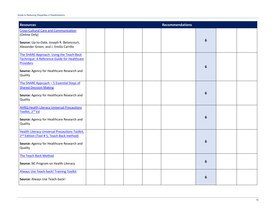| <b>Resources</b>                                                                                                                                                       |  |  | <b>Recommendations</b> |                 |  |
|------------------------------------------------------------------------------------------------------------------------------------------------------------------------|--|--|------------------------|-----------------|--|
| <b>Cross-Cultural Care and Communication</b><br>(Online Only)<br>Source: Up-to-Date, Joseph R. Betancourt,<br>Alexander Green, and J. Emilio Carrillo                  |  |  |                        | 6               |  |
| The SHARE Approach: Using the Teach-Back<br>Technique: A Reference Guide for Healthcare<br>Providers<br>Source: Agency for Healthcare Research and<br>Quality          |  |  |                        | 6               |  |
| The SHARE Approach - 5 Essential Steps of<br><b>Shared Decision Making</b><br>Source: Agency for Healthcare Research and<br>Quality                                    |  |  |                        | 6               |  |
| <b>AHRQ Health Literacy Universal Precautions</b><br>Toolkit, 2 <sup>nd</sup> Ed<br>Source: Agency for Healthcare Research and<br>Quality                              |  |  |                        | 6               |  |
| <b>Health Literacy Universal Precautions Toolkit,</b><br>2 <sup>nd</sup> Edition (Tool #5, Teach-Back method)<br>Source: Agency for Healthcare Research and<br>Quality |  |  |                        | $6\phantom{1}6$ |  |
| The Teach Back Method<br>Source: NC Program on Health Literacy                                                                                                         |  |  |                        | $6\phantom{1}6$ |  |
| <b>Always Use Teach-back! Training Toolkit</b><br>Source: Always Use Teach-back!                                                                                       |  |  |                        | 6               |  |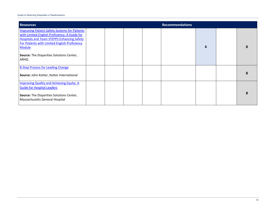| <b>Resources</b>                                                                                                                                                                                                             |  |  | <b>Recommendations</b> |   |  |
|------------------------------------------------------------------------------------------------------------------------------------------------------------------------------------------------------------------------------|--|--|------------------------|---|--|
| <b>Improving Patient Safety Systems for Patients</b><br>with Limited English Proficiency: A Guide for<br><b>Hospitals and Team STEPPS Enhancing Safety</b><br>For Patients with Limited English Proficiency<br><b>Module</b> |  |  |                        | 6 |  |
| <b>Source:</b> The Disparities Solutions Center,<br>ARHQ                                                                                                                                                                     |  |  |                        |   |  |
| <b>8-Step Process for Leading Change</b><br>Source: John Kotter, Kotter International                                                                                                                                        |  |  |                        |   |  |
| <b>Improving Quality and Achieving Equity: A</b><br><b>Guide for Hospital Leaders</b><br>Source: The Disparities Solutions Center,<br>Massachusetts General Hospital                                                         |  |  |                        |   |  |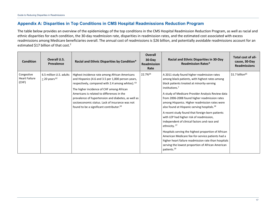## **Appendix A: Disparities in Top Conditions in CMS Hospital Readmissions Reduction Program**

The table below provides an overview of the epidemiology of the top conditions in the CMS Hospital Readmission Reduction Program, as well as racial and ethnic disparities for each condition, the 30-day readmission rate, disparities in readmission rates, and the estimated cost associated with excess readmissions among Medicare beneficiaries overall. The annual cost of readmissions is \$26 billion, and potentially avoidable readmissions account for an estimated \$17 billion of that cost.<sup>2</sup>

<span id="page-19-0"></span>

| <b>Condition</b>                            | <b>Overall U.S.</b><br>Prevalence            | Racial and Ethnic Disparities by Condition*                                                                                                                                                                                                                                                                                                                                                                                       | <b>Overall</b><br>$30$ -Day<br><b>Readmission</b><br>Rate | <b>Racial and Ethnic Disparities in 30-Day</b><br><b>Readmission Rates*</b>                                                                                                                                                                                                                                                                                                                                                                                                                                                                                                                                                                                                                                                                                                                                                | Total cost of all-<br>cause, 30-Day<br><b>Readmissions</b> |
|---------------------------------------------|----------------------------------------------|-----------------------------------------------------------------------------------------------------------------------------------------------------------------------------------------------------------------------------------------------------------------------------------------------------------------------------------------------------------------------------------------------------------------------------------|-----------------------------------------------------------|----------------------------------------------------------------------------------------------------------------------------------------------------------------------------------------------------------------------------------------------------------------------------------------------------------------------------------------------------------------------------------------------------------------------------------------------------------------------------------------------------------------------------------------------------------------------------------------------------------------------------------------------------------------------------------------------------------------------------------------------------------------------------------------------------------------------------|------------------------------------------------------------|
| Congestive<br><b>Heart Failure</b><br>(CHF) | 6.5 million U.S. adults<br>$>$ 20 years $62$ | Highest incidence rate among African Americans<br>and Hispanics (4.6 and 3.5 per 1,000 person years,<br>respectively, compared with 2.4 among whites). <sup>63</sup><br>The higher incidence of CHF among African<br>Americans is related to differences in the<br>prevalence of hypertension and diabetes, as well as<br>socioeconomic status. Lack of insurance was not<br>found to be a significant contributor. <sup>63</sup> | 22.7% <sup>64</sup>                                       | A 2011 study found higher readmission rates<br>among black patients, with highest rates among<br>black patients treated at minority-serving<br>institutions. <sup>7</sup><br>A study of Medicare Provider Analysis Review data<br>from 2006-2008 found higher readmission rates<br>among Hispanics. Higher readmission rates were<br>also found at Hispanic-serving hospitals. <sup>18</sup><br>A recent study found that foreign-born patients<br>with LEP had higher risk of readmission,<br>independent of clinical factors and race and<br>ethnicity. <sup>37</sup><br>Hospitals serving the highest proportion of African<br>American Medicare fee-for-service patients had a<br>higher heart failure readmission rate than hospitals<br>serving the lowest proportion of African American<br>patients. <sup>19</sup> | $$1.7$ billion <sup>65</sup>                               |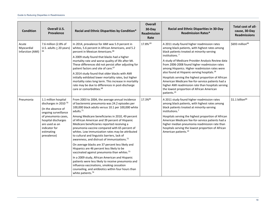| <b>Condition</b>                        | Overall U.S.<br>Prevalence                                                                                                                                                                                           | Racial and Ethnic Disparities by Condition*                                                                                                                                                                                                                                                                                                                                                                                                                                                                                                                                                                                                                                                                                                                                                                                                                                                                                                                   | <b>Overall</b><br>30-Day<br><b>Readmission</b><br>Rate | <b>Racial and Ethnic Disparities in 30-Day</b><br><b>Readmission Rates*</b>                                                                                                                                                                                                                                                                                                                                                                                                                                                                                                                                                           | Total cost of all-<br>cause, 30-Day<br><b>Readmissions</b> |
|-----------------------------------------|----------------------------------------------------------------------------------------------------------------------------------------------------------------------------------------------------------------------|---------------------------------------------------------------------------------------------------------------------------------------------------------------------------------------------------------------------------------------------------------------------------------------------------------------------------------------------------------------------------------------------------------------------------------------------------------------------------------------------------------------------------------------------------------------------------------------------------------------------------------------------------------------------------------------------------------------------------------------------------------------------------------------------------------------------------------------------------------------------------------------------------------------------------------------------------------------|--------------------------------------------------------|---------------------------------------------------------------------------------------------------------------------------------------------------------------------------------------------------------------------------------------------------------------------------------------------------------------------------------------------------------------------------------------------------------------------------------------------------------------------------------------------------------------------------------------------------------------------------------------------------------------------------------------|------------------------------------------------------------|
| Acute<br>Myocardial<br>Infarction (AMI) | 7.6 million (2.8% of<br>U.S. adults $\geq$ 20 years)                                                                                                                                                                 | In 2014, prevalence for AMI was 5.9 percent in<br>whites, 5.6 percent in African Americans, and 5.2<br>percent in Mexican Americans. <sup>66</sup><br>A 2009 study found that blacks had a higher<br>mortality rate and worse quality of life after MI.<br>These differences did not persist after adjusting for<br>patient factors and site of care. <sup>67</sup><br>A 2014 study found that older blacks with AMI<br>initially exhibited lower mortality rates, but higher<br>mortality rates long term. This increase in mortality<br>rate may be due to differences in post-discharge<br>care or comorbidities. <sup>68</sup>                                                                                                                                                                                                                                                                                                                            | 17.8% 69                                               | A 2011 study found higher readmission rates<br>among black patients, with highest rates among<br>black patients treated at minority-serving<br>institutions. <sup>7</sup><br>A study of Medicare Provider Analysis Review data<br>from 2006-2008 found higher readmission rates<br>among Hispanics. Higher readmission rates were<br>also found at Hispanic-serving hospitals. <sup>18</sup><br>Hospitals serving the highest proportion of African<br>American Medicare fee-for-service patients had a<br>higher AMI readmission rate than hospitals serving<br>the lowest proportion of African American<br>patients. <sup>19</sup> | \$693 million <sup>66</sup>                                |
| Pneumonia                               | 1.1 million hospital<br>discharges in 2010 <sup>70</sup><br>(In the absence of<br>ongoing surveillance<br>of pneumonia cases,<br>hospital discharges<br>are used as an<br>indicator for<br>estimating<br>prevalence) | From 2003 to 2004, the average annual incidence<br>of bacteremic pneumonia was 24.2 episodes per<br>100,000 black adults versus 10.1 per 100,000 white<br>adults. <sup>71</sup><br>Among Medicare beneficiaries in 2010, 49 percent<br>of African American and 39 percent of Hispanic<br>Medicare beneficiaries reported receiving a<br>pneumonia vaccine compared with 65 percent of<br>whites. Low immunization rates may be attributed<br>to cultural and linguistic barriers, lack of<br>awareness, and distrust of immunizations. <sup>72</sup><br>On average blacks are 37 percent less likely and<br>Hispanics are 46 percent less likely to be<br>vaccinated against pneumonia than whites. <sup>73</sup><br>In a 2009 study, African American and Hispanic<br>patients were less likely to receive pneumonia and<br>influenza vaccinations, smoking cessation<br>counseling, and antibiotics within four hours than<br>white patients. <sup>74</sup> | 17.3%85                                                | A 2011 study found higher readmission rates<br>among black patients, with highest rates among<br>black patients treated at minority-serving<br>institutions. <sup>7</sup><br>Hospitals serving the highest proportion of African<br>American Medicare fee-for-service patients had a<br>higher median pneumonia readmission rate than<br>hospitals serving the lowest proportion of African<br>American patients. <sup>19</sup>                                                                                                                                                                                                       | $$1.1$ billion <sup>66</sup>                               |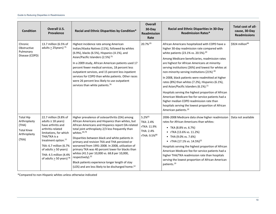| <b>Condition</b>                                                                        | Overall U.S.<br>Prevalence                                                                                                                                                                                                                                                                             | Racial and Ethnic Disparities by Condition*                                                                                                                                                                                                                                                                                                                                                                                                                                                                                                                                                                                                               | <b>Overall</b><br>30-Day<br><b>Readmission</b><br>Rate                      | <b>Racial and Ethnic Disparities in 30-Day</b><br><b>Readmission Rates*</b>                                                                                                                                                                                                                                                                                                                                                                                                                                                                                                                                                                                                                                                                                                            | Total cost of all-<br>cause, 30-Day<br><b>Readmissions</b> |
|-----------------------------------------------------------------------------------------|--------------------------------------------------------------------------------------------------------------------------------------------------------------------------------------------------------------------------------------------------------------------------------------------------------|-----------------------------------------------------------------------------------------------------------------------------------------------------------------------------------------------------------------------------------------------------------------------------------------------------------------------------------------------------------------------------------------------------------------------------------------------------------------------------------------------------------------------------------------------------------------------------------------------------------------------------------------------------------|-----------------------------------------------------------------------------|----------------------------------------------------------------------------------------------------------------------------------------------------------------------------------------------------------------------------------------------------------------------------------------------------------------------------------------------------------------------------------------------------------------------------------------------------------------------------------------------------------------------------------------------------------------------------------------------------------------------------------------------------------------------------------------------------------------------------------------------------------------------------------------|------------------------------------------------------------|
| Chronic<br>Obstructive<br>Pulmonary<br>Disease (COPD)                                   | 13.7 million (6.5% of<br>adults $\geq$ 25years) <sup>75</sup>                                                                                                                                                                                                                                          | Highest incidence rate among American<br>Indian/Alaska Natives (11%), followed by whites<br>(6.9%), blacks (6.5%), Hispanics (4.1%), and<br>Asian/Pacific Islanders (2.5%) <sup>75</sup><br>In a 2009 study, African American patients used 17<br>percent fewer medical services, 18 percent less<br>outpatient services, and 15 percent less inpatient<br>services for COPD than white patients. Other races<br>were 26 percent less likely to use outpatient<br>services than white patients. <sup>76</sup>                                                                                                                                             | 20.7% 65                                                                    | African Americans hospitalized with COPD have a<br>higher 30-day readmission rate compared with<br>white patients (23.1% vs. 20.5%). <sup>20</sup><br>Among Medicare beneficiaries, readmission rates<br>are highest for African Americans at minority-<br>serving institutions (26%) and lowest for whites at<br>non-minority-serving institutions (21%) <sup>20</sup><br>In 2008, black patients were readmitted at higher<br>rates (8%) than whites (7.2%), Hispanics (6.1%),<br>and Asian/Pacific Islanders (6.1%). <sup>21</sup><br>Hospitals serving the highest proportion of African<br>American Medicare fee-for-service patients had a<br>higher median COPD readmission rate than<br>hospitals serving the lowest proportion of African<br>American patients. <sup>19</sup> | \$924 million <sup>66</sup>                                |
| <b>Total Hip</b><br>Arthroplasty<br>(THA)<br><b>Total Knee</b><br>Arthroplasty<br>(TKA) | 22.7 million (9.8% of<br>adults $\geq$ 18 years)<br>have arthritis and<br>arthritis-related<br>limitations, for which<br>THA/TKA is a<br>treatment option. <sup>77</sup><br>TKA: 6.7 million (6.7%<br>of adults $\geq$ 50 years)<br>THA: 4.5 million (4.4%<br>of adults $\geq$ 50 years) <sup>78</sup> | Higher prevalence of osteoarthritis (OA) among<br>African Americans and Hispanics than whites, but<br>African Americans and Hispanics report OA-related<br>total joint arthroplasty 2/3 less frequently than<br>whites. <sup>44,79</sup><br>Disparities between black and white patients in<br>primary and revision TKA and THA persisted or<br>worsened from 1991-2008. In 2008, utilization of<br>primary TKA was 40 percent lower for blacks than<br>whites (41.5 per 10,000 vs. 68.8 per 10,000,<br>respectively). <sup>22</sup><br>Black patients experience longer length of stay<br>(LOS) and are less likely to be discharged home. <sup>22</sup> | 5.2%65<br>TKA: 2.4%<br>rTKA: 11.9%<br>THA: 2.4%<br>rTHA: 9.5% <sup>80</sup> | 2006-2008 Medicare data show higher readmission<br>rates for African Americans than whites:<br>• TKA $(8.8\% \text{ vs. } 6.7\%)$<br>• rTKA (13.6% vs. 11.2%)<br>• THA (9.0% vs. 7.6%)<br>• rTHA $(17.1\% \text{ vs. } 14.5\%)^{22}$<br>Hospitals serving the highest proportion of African<br>American Medicare fee-for-service patients had a<br>higher THA/TKA readmission rate than hospitals<br>serving the lowest proportion of African American<br>patients. <sup>19</sup>                                                                                                                                                                                                                                                                                                      | Data not available                                         |

\*Compared to non-Hispanic whites unless otherwise indicated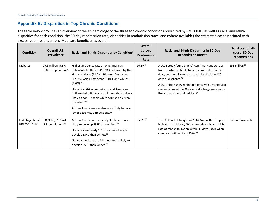## **Appendix B: Disparities in Top Chronic Conditions**

The table below provides an overview of the epidemiology of the three top chronic conditions prioritized by CMS OMH, as well as racial and ethnic disparities for each condition, the 30-day readmission rate, disparities in readmission rates, and (where available) the estimated cost associated with excess readmissions among Medicare beneficiaries overall.

<span id="page-22-0"></span>

| <b>Condition</b>                         | Overall U.S.<br>Prevalence                     | Racial and Ethnic Disparities by Condition*                                                                                                                                                                                                                                                                                                                                                                                                                                               | <b>Overall</b><br>30-Day<br><b>Readmission</b><br>Rate | Racial and Ethnic Disparities in 30-Day<br><b>Readmission Rates*</b>                                                                                                                                                                                                                                                                                  | Total cost of all-<br>cause, 30-Day<br>readmissions |
|------------------------------------------|------------------------------------------------|-------------------------------------------------------------------------------------------------------------------------------------------------------------------------------------------------------------------------------------------------------------------------------------------------------------------------------------------------------------------------------------------------------------------------------------------------------------------------------------------|--------------------------------------------------------|-------------------------------------------------------------------------------------------------------------------------------------------------------------------------------------------------------------------------------------------------------------------------------------------------------------------------------------------------------|-----------------------------------------------------|
| <b>Diabetes</b>                          | 29.1 million (9.3%<br>of U.S. population) $81$ | Highest incidence rate among American<br>Indian/Alaska Natives (15.9%), followed by Non-<br>Hispanic blacks (13.2%), Hispanic Americans<br>(12.8%), Asian Americans (9.0%), and whites<br>$(7.6\%)$ <sup>81</sup><br>Hispanics, African Americans, and American<br>Indian/Alaska Natives are all more than twice as<br>likely as non-Hispanic white adults to die from<br>diabetes. 82-84<br>African Americans are also more likely to have<br>lower extremity amputations. <sup>82</sup> | 20.3%85                                                | A 2013 study found that African Americans were as<br>likely as white patients to be readmitted within 30-<br>days, but more likely to be readmitted within 180-<br>days of discharge. <sup>86</sup><br>A 2010 study showed that patients with unscheduled<br>readmissions within 90 days of discharge were more<br>likely to be ethnic minorities. 87 | $251$ million <sup>66</sup>                         |
| <b>End Stage Renal</b><br>Disease (ESRD) | 636,905 (0.19% of<br>U.S. population) $88$     | African Americans are nearly 3.5 times more<br>likely to develop ESRD than whites. <sup>89</sup><br>Hispanics are nearly 1.5 times more likely to<br>develop ESRD than whites. <sup>89</sup><br>Native Americans are 1.3 times more likely to<br>develop ESRD than whites. <sup>85</sup>                                                                                                                                                                                                  | 35.2% 88                                               | The US Renal Data System 2014 Annual Data Report<br>indicates that blacks/African Americans have a higher<br>rate of rehospitalization within 30 days (38%) when<br>compared with whites (36%). 88                                                                                                                                                    | Data not available                                  |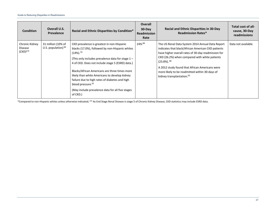| <b>Condition</b>                              | <b>Overall U.S.</b><br><b>Prevalence</b>    | Racial and Ethnic Disparities by Condition*                                                                                                                                                                                                                                                                                                                                                                                                                                              | <b>Overall</b><br>$30$ -Day<br><b>Readmission</b><br>Rate | <b>Racial and Ethnic Disparities in 30-Day</b><br><b>Readmission Rates*</b>                                                                                                                                                                                                                                                                                                             | Total cost of all-<br>cause, 30-Day<br>readmissions |
|-----------------------------------------------|---------------------------------------------|------------------------------------------------------------------------------------------------------------------------------------------------------------------------------------------------------------------------------------------------------------------------------------------------------------------------------------------------------------------------------------------------------------------------------------------------------------------------------------------|-----------------------------------------------------------|-----------------------------------------------------------------------------------------------------------------------------------------------------------------------------------------------------------------------------------------------------------------------------------------------------------------------------------------------------------------------------------------|-----------------------------------------------------|
| Chronic Kidney<br><b>Disease</b><br>$(CKD)**$ | 31 million (10% of<br>U.S. population) $90$ | CKD prevalence is greatest in non-Hispanic<br>blacks (17.0%), followed by non-Hispanic whites<br>$(14\%)$ <sup>91</sup><br>(This only includes prevalence data for stage $1 -$<br>4 of CKD. Does not include stage 5 (ESRD) data.)<br>Blacks/African Americans are three times more<br>likely than white Americans to develop kidney<br>failure due to high rates of diabetes and high<br>blood pressure. <sup>92</sup><br>(May include prevalence data for all five stages)<br>of CKD.) | 24% 88                                                    | The US Renal Data System 2014 Annual Data Report<br>indicates that black/African American CKD patients<br>have higher overall rates of 30-day readmission for<br>CKD (26.2%) when compared with white patients<br>$(23.8\%)$ <sup>88</sup><br>A 2012 study found that African Americans were<br>more likely to be readmitted within 30-days of<br>kidney transplantation. <sup>93</sup> | Data not available                                  |

\*Compared to non-Hispanic whites unless otherwise indicated; \*\* As End Stage Renal Disease is stage 5 of Chronic Kidney Disease, CKD statistics may include ESRD data.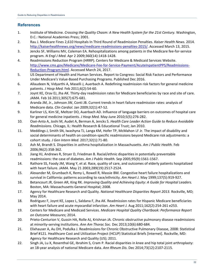## <span id="page-24-0"></span>**References**

- 1. Institute of Medicine. *Crossing the Quality Chasm: A New Health System for the 21st Century.* Washington, D.C.: National Academies Press; 2001.
- 2. Rau J. Medicare Fines 2,610 Hospitals In Third Round of Readmission Penalties. *Kaiser Health News.* 2014. [http://kaiserhealthnews.org/news/medicare-readmissions-penalties-2015/.](http://kaiserhealthnews.org/news/medicare-readmissions-penalties-2015/) Accessed March 13, 2015.
- 3. Jencks SF, Williams MV, Coleman EA. Rehospitalizations among patients in the Medicare fee-for-service program. *N Engl J Med.* Apr 2 2009;360(14):1418-1428.
- 4. Readmissions Reduction Program (HRRP). Centers for Medicare & Medicaid Services Website. [http://www.cms.gov/Medicare/Medicare-Fee-for-Service-Payment/AcuteInpatientPPS/Readmissions-](http://www.cms.gov/Medicare/Medicare-Fee-for-Service-Payment/AcuteInpatientPPS/Readmissions-Reduction-Program.html)[Reduction-Program.html.](http://www.cms.gov/Medicare/Medicare-Fee-for-Service-Payment/AcuteInpatientPPS/Readmissions-Reduction-Program.html) Accessed March 24, 2017.
- 5. US Department of Health and Human Services. Report to Congress: Social Risk Factors and Performance Under Medicare's Value-Based Purchasing Programs. Published Dec 2016.
- 6. Allaudeen N, Vidyarthi A, Maselli J, Auerbach A. Redefining readmission risk factors for general medicine patients. *J Hosp Med.* Feb 2011;6(2):54-60.
- 7. Joynt KE, Orav EJ, Jha AK. Thirty-day readmission rates for Medicare beneficiaries by race and site of care. *JAMA.* Feb 16 2011;305(7):675-681.
- 8. Aranda JM, Jr., Johnson JW, Conti JB. Current trends in heart failure readmission rates: analysis of Medicare data. *Clin Cardiol.* Jan 2009;32(1):47-52.
- 9. Karliner LS, Kim SE, Meltzer DO, Auerbach AD. Influence of language barriers on outcomes of hospital care for general medicine inpatients. *J Hosp Med.* May-June 2010;5(5):276-282.
- 10. Osei-Anto A, Joshi M, Audet A, Berman A, Jencks S. *Health Care Leader Action Guide to Reduce Avoidable Readmissions.* Chicago, IL: Health Research & Educational Trust; Jan 2010.
- 11. Meddings J, Smith SN, Iwashyna TJ, Langa KM, Hofer TP, McMahon LF Jr. The impact of disability and social determinants of health on condition-specific readmissions beyond Medicare risk adjustments: a cohort study. *J Gen Intern Med*. 2017;32(1):71-80.
- 12. Ash M, Brandt S. Disparities in asthma hospitalization in Massachusetts. *Am J Public Health.* Feb 2006;96(2):358-362.
- 13. Jiang HJ, Andrews R, Stryer D, Friedman B. Racial/ethnic disparities in potentially preventable readmissions: the case of diabetes. *Am J Public Health.* Sep 2005;95(9):1561-1567.
- 14. Rathore SS, Foody JM, Wang Y, et al. Race, quality of care, and outcomes of elderly patients hospitalized with heart failure. *JAMA.* May 21 2003;289(19):2517-2524.
- 15. Alexander M, Grumbach K, Remy L, Rowell R, Massie BM. Congestive heart failure hospitalizations and survival in California: patterns according to race/ethnicity. *Am Heart J.* May 1999;137(5):919-927.
- 16. Betancourt JR, Green AR, King RK. *Improving Quality and Achieving Equity: A Guide for Hospital Leaders.*  Boston, MA: Massachusetts General Hospital; 2008.
- 17. Agency for Healthcare Research and Quality. *National Healthcare Disparities Report 2013.* Rockville, MD; May 2014.
- 18. Rodriguez F, Joynt KE, Lopez L, Saldana F, Jha AK. Readmission rates for Hispanic Medicare beneficiaries with heart failure and acute myocardial infarction. *Am Heart J.* Aug 2011;162(2):254-261 e253.
- 19. Centers for Medicare and Medicaid Services. *Medicare Hospital Quality Chartbook: Performance Report on Outcome Measures*; 2014.
- 20. Prieto-Centurion V, Gussin HA, Rolle AJ, Krishnan JA. Chronic obstructive pulmonary disease readmissions at minority-serving institutions. *Ann Am Thorac Soc.* Dec 2013;10(6):680-684.
- 21. Elixhauser A, Au DH, Podulka J. Readmissions for Chronic Obstructive Pulmonary Disease, 2008: Statistical Brief #121. Healthcare Cost and Utilization Project (HCUP) Statistical Briefs [Internet]. Rockville, MD: Agency for Healthcare Research and Quality (US); 2011.
- 22. Singh JA, Lu X, Rosenthal GE, Ibrahim S, Cram P. Racial disparities in knee and hip total joint arthroplasty: an 18-year analysis of national Medicare data. *Ann Rheum Dis.* Dec 2014;73(12):2107-2115.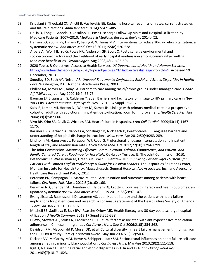- 23. Kripalani S, Theobald CN, Anctil B, Vasilevskis EE. Reducing hospital readmission rates: current strategies and future directions. *Annu Rev Med.* 2014;65:471-485.
- 24. DeLia D, Tong J, Gaboda D, Casalino LP. Post-Discharge Follow-Up Visits and Hospital Utilization by Medicare Patients, 2007–2010. *Medicare & Medicaid Research Review.* 2014;4(2).
- 25. Hansen LO, Young RS, Hinami K, Leung A, Williams MV. Interventions to reduce 30-day rehospitalization: a systematic review. *Ann Intern Med.* Oct 18 2011;155(8):520-528.
- 26. Arbaje AI, Wolff JL, Yu Q, Powe NR, Anderson GF, Boult C. Postdischarge environmental and socioeconomic factors and the likelihood of early hospital readmission among community-dwelling Medicare beneficiaries. *Gerontologist.* Aug 2008;48(4):495-504.
- 27. 2020 Topics & Objectives: Access to Health Services. *US Department of Health and Human Services.*  [http://www.healthypeople.gov/2020/topicsobjectives2020/objectiveslist.aspx?topicId=1.](http://www.healthypeople.gov/2020/topicsobjectives2020/objectiveslist.aspx?topicId=1) Accessed 19 December, 2013.
- 28. Smedley BD, Stith AY, Nelson AR. *Unequal Treatment:: Confronting Racial and Ethnic Disparities in Health Care.* Washington, D.C.: National Academies Press; 2003.
- 29. Phillips KA, Mayer ML, Aday LA. Barriers to care among racial/ethnic groups under managed care. *Health Aff (Millwood).* Jul-Aug 2000;19(4):65-75.
- 30. Bauman LJ, Braunstein S, Calderon Y, et al. Barriers and facilitators of linkage to HIV primary care in New York City. *J Acquir Immune Defic Syndr.* Nov 1 2013;64 Suppl 1:S20-26.
- 31. Saitz R, Larson MJ, Horton NJ, Winter M, Samet JH. Linkage with primary medical care in a prospective cohort of adults with addictions in inpatient detoxification: room for improvement. *Health Serv Res.* Jun 2004;39(3):587-606.
- 32. Vivo RP, Krim SR, Cevik C, Witteles RM. Heart failure in Hispanics. *J Am Coll Cardiol.* 2009;53(14):1167- 1175.
- 33. Karliner LS, Auerbach A, Napoles A, Schillinger D, Nickleach D, Perez-Stable EJ. Language barriers and understanding of hospital discharge instructions. *Medl care.* Apr 2012;50(4):283-289.
- 34. Lindholm M, Hargraves JL, Ferguson WJ, Reed G. Professional language interpretation and inpatient length of stay and readmission rates. *J Gen Intern Med.* Oct 2012;27(10):1294-1299.
- 35. The Joint Commission. *Advancing Effective Communication, Cultural Competence, and Patient- and Family-Centered Care: A Roadmap for Hospitals.* Oakbrook Terrace, IL: The Joint Commission; 2010.
- 36. Betancourt JR, Wasserman M, Green AR, Brach C, Renfrew MR. *Improving Patient Safety Systems for Patients with Limited English Proficiency: A Guide for Hospital Leaders.* The Disparities Solutions Center, Mongan Institute for Health Policy, Massachusetts General Hospital, Abt Associates, Inc., and Agency for Healthcare Research and Policy; 2012.
- 37. Peterson PN, Campagna EJ, Maravi M, et al. Acculturation and outcomes among patients with heart failure. *Circ Heart Fail.* Mar 1 2012;5(2):160-166.
- 38. Berkman ND, Sheridan SL, Donahue KE, Halpern DJ, Crotty K. Low health literacy and health outcomes: an updated systematic review. *Ann Intern Med.* Jul 19 2011;155(2):97-107.
- 39. Evangelista LS, Rasmusson KD, Laramee AS, et al. Health literacy and the patient with heart failure- implications for patient care and research: a consensus statement of the Heart Failure Society of America. *J Card Fail.* Jan 2010;16(1):9-16.
- 40. Mitchell SE, Sadikova E, Jack BW, Paasche-Orlow MK. Health literacy and 30-day postdischarge hospital utilization. *J Health Commun.* 2012;17 Suppl 3:325-338.
- 41. Li WW, Stewart AL, Stotts N, Froelicher ES. Cultural factors associated with antihypertensive medication adherence in Chinese immigrants. *J Cardiovasc Nurs.* Sep-Oct 2006;21(5):354-362.
- 42. Davidson PM, Macdonald P, Moser DK, et al. Cultural diversity in heart failure management: findings from the DISCOVER study (Part 2). *Contemp Nurse.* May-Jun 2007;25(1-2):50-61.
- 43. Dickson VV, McCarthy MM, Howe A, Schipper J, Katz SM. Sociocultural influences on heart failure self-care among an ethnic minority black population. *J Cardiovasc Nurs.* Mar-Apr 2013;28(2):111-118.
- 44. Irgit K, Nelson CL. Defining racial and ethnic disparities in THA and TKA. *Clin Orthop Relat Res.* Jul 2011;469(7):1817-1823.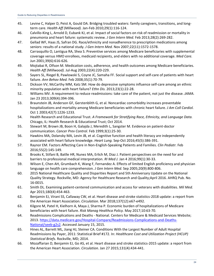- 45. Levine C, Halper D, Peist A, Gould DA. Bridging troubled waters: family caregivers, transitions, and longterm care. *Health Aff (Millwood).* Jan-Feb 2010;29(1):116-124.
- 46. Calvillo-King L, Arnold D, Eubank KJ, et al. Impact of social factors on risk of readmission or mortality in pneumonia and heart failure: systematic review. *J Gen Intern Med.* Feb 2013;28(2):269-282.
- 47. Gellad WF, Haas JS, Safran DG. Race/ethnicity and nonadherence to prescription medications among seniors: results of a national study. *J Gen Intern Med.* Nov 2007;22(11):1572-1578.
- 48. Carrasquillo O, Lantigua RA, Shea S. Preventive services among Medicare beneficiaries with supplemental coverage versus HMO enrollees, medicaid recipients, and elders with no additional coverage. *Med Care.*  Jun 2001;39(6):616-626.
- 49. Mojtabai R, Olfson M. Medication costs, adherence, and health outcomes among Medicare beneficiaries. *Health Aff (Millwood).* Jul-Aug 2003;22(4):220-229.
- 50. Sayers SL, Riegel B, Pawlowski S, Coyne JC, Samaha FF. Social support and self-care of patients with heart failure. *Ann Behav Med.* Feb 2008;35(1):70-79.
- 51. Dickson VV, McCarthy MM, Katz SM. How do depressive symptoms influence self-care among an ethnic minority population with heart failure? *Ethn Dis.* 2013;23(1):22-28.
- 52. Williams MV. A requirement to reduce readmissions: take care of the patient, not just the disease. *JAMA.*  Jan 23 2013;309(4):394-396.
- 53. Braunstein JB, Anderson GF, Gerstenblith G, et al. Noncardiac comorbidity increases preventable hospitalizations and mortality among Medicare beneficiaries with chronic heart failure. *J Am Coll Cardiol.*  Oct 1 2003;42(7):1226-1233.
- 54. Health Research and Educational Trust. *A Framework for Stratifying Race, Ethnicity, and Language Data.*  Chicago, IL: Health Research & Educational Trust; Oct 2014.
- 55. Stewart M, Brown JB, Boon H, Galajda J, Meredith L, Sangster M. Evidence on patient-doctor communication. *Cancer Prev Control.* Feb 1999;3(1):25-30.
- 56. Hawkins MA, Dolansky MA, Levin JB, et al. Cognitive function and health literacy are independently associated with heart failure knowledge. *Heart Lung.* Sep-Oct 2016;45(5):386-391.
- 57. Raynor EM. Factors Affecting Care in Non-English-Speaking Patients and Families. *Clin Pediatr.* Feb 2016;55(2):145-149.
- 58. Brooks K, Stifani B, Batlle HR, Nunez MA, Erlich M, Diaz J. Patient perspectives on the need for and barriers to professional medical interpretation. *RI Med J.* Jan 4 2016;99(1):30-33.
- 59. Wilson E, Chen AH, Grumbach K, Wang F, Fernandez A. Effects of limited English proficiency and physician language on health care comprehension. *J Gen Intern Med.* Sep 2005;20(9):800-806.
- 60. 2015 National Healthcare Quality and Disparities Report and 5th Anniversary Update on the National Quality Strategy. Rockville, MD: Agency for Healthcare Research and Quality;April 2016. AHRQ Pub. No. 16-0015.
- 61. Smith DL. Examining patient-centered communication and access for veterans with disabilities. *Mil Med.*  Apr 2015;180(4):454-463.
- 62. Benjamin EJ, Virani SS, Callaway CW, et al. Heart disease and stroke statistics-2018 update: a report from the American Heart Association. *Circulation.* Mar 2018;137(12):e67-e492.
- 63. Kilgore M, Patel H, Kielhorn A, Maya J, Sharma P. Economic burden of hospitalizations of Medicare beneficiaries with heart failure. *Risk Manag Healthca Policy.* May 2017;10:63-70.
- 64. Readmissions Complications and Deaths National. Centers for Medicare & Medicaid Services Website; 2013. [https://data.medicare.gov/Hospital-Compare/Readmissions-Complications-and-Deaths-](https://data.medicare.gov/Hospital-Compare/Readmissions-Complications-and-Deaths-National/seeb-g2s2)[National/seeb-g2s2.](https://data.medicare.gov/Hospital-Compare/Readmissions-Complications-and-Deaths-National/seeb-g2s2) Accessed January 15, 2015.
- 65. Hines AL, Barrett ML, Jiang HJ, Steiner CA. Conditions With the Largest Number of Adult Hospital Readmissions by Payer, 2011: Statistical Brief #172. In: *Healthcare Cost and Utilization Project (HCUP) Statistical Briefs.* Rockville, MD; 2014.
- 66. Mozaffarian D, Benjamin EJ, Go AS, et al. Heart disease and stroke statistics-2015 update: a report from the American Heart Association. *Circulation.* Jan 27 2015;131(4):434-441.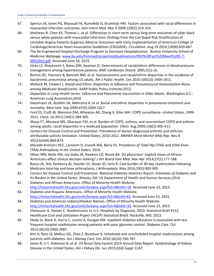- 67. Spertus JA, Jones PG, Masoudi FA, Rumsfeld JS, Krumholz HM. Factors associated with racial differences in myocardial infarction outcomes. *Ann Intern Med.* Mar 3 2009;150(5):314-324.
- 68. Mathews R, Chen AY, Thomas L, et al. Differences in short-term versus long-term outcomes of older black versus white patients with myocardial infarction: findings from the Can Rapid Risk Stratification of Unstable Angina Patients Suppress Adverse Outcomes with Early Implementation of American College of Cardiology/American Heart Association Guidelines (CRUSADE). *Circulation.* Aug 19 2014;130(8):659-667.
- 69. The Re-Engineered Hospital Discharge Program to Decrease Hospitalization. Boston University School of Medicine Webpage. [www.bu.edu/fammed/projectred/publications/RED%20Fact%20Sheet%202-7-](http://www.bu.edu/fammed/projectred/publications/RED%20Fact%20Sheet%202-7-09%20v2.pdf) [09%20v2.pdf.](http://www.bu.edu/fammed/projectred/publications/RED%20Fact%20Sheet%202-7-09%20v2.pdf) Accessed June 16, 2015.
- 70. Hicks LS, Shaykevich S, Bates DW, Ayanian JZ. Determinants of racial/ethnic differences in blood pressure management among hypertensive patients. *BMC Cardiovasc Disord.* 2005;5(1):16.
- 71. Burton DC, Flannery B, Bennett NM, et al. Socioeconomic and racial/ethnic disparities in the incidence of bacteremic pneumonia among US adults. *Am J Public Health.* Oct 2010;100(10):1904-1911.
- 72. Multack M, Flowers L. *Racial and Ethnic Disparities in Influenza and Pneumococcal Immunization Rates among Medicare Beneficiaries.* AARP Public Policy Institute;2012.
- 73. *Disparities in Lung Health Series: Influenza and Pneumonia Vaccination in Older Adults.* Washington D.C.: American Lung Association;2010.
- 74. Hausmann LR, Ibrahim SA, Mehrotra A, et al. Racial and ethnic disparities in pneumonia treatment and mortality. *Med Care.* Sep 2009;47(9):1009-1017.
- 75. Ford ES, Croft JB, Mannino DM, Wheaton AG, Zhang X, Giles WH. COPD surveillance--United States, 1999- 2011. *Chest.* Jul 2013;144(1):284-305.
- 76. Shaya FT, Maneval MS, Gbarayor CM, et al. Burden of COPD, asthma, and concomitant COPD and asthma among adults: racial disparities in a medicaid population. *Chest.* Aug 2009;136(2):405-411.
- 77. Centers for Disease Control and Prevention. Prevalence of doctor-diagnosed arthritis and arthritisattributable activity limitation--United States, 2010-2012. *MMWR Morb Mortal Wkly Rep.* Nov 8 2013;62(44):869-873.
- 78. Maradit-Kremers HCC, Larsonm D, Jiranek WA, Berry DJ. *Prevalence of Total Hip (THA) and tOtal Knee (TKA) Arthroplasty in the United States*; 2014.
- 79. Oliver MN, Wells KM, Joy-Gaba JA, Hawkins CB, Nosek BA. Do physicians' implicit views of African Americans affect clinical decision making? *J Am Board Fam Med.* Mar-Apr 2014;27(2):177-188.
- 80. Bosco JA, 3rd, Karkenny AJ, Hutzler LH, Slover JD, Iorio R. Cost burden of 30-day readmissions following Medicare total hip and knee arthroplasty. *J Arthroplasty.* May 2014;29(5):903-905.
- 81. Centers for Disease Control and Prevention. *National Diabetes Statistics Report: Estimates of Diabetes and Its Burden in the United States.* Atlanta, GA: US Department of Health and Human Services;2014.
- 82. Diabetes and African Americans. Office of Minority Health Website. [http://minorityhealth.hhs.gov/omh/browse.aspx?lvl=4&lvlID=18.](https://minorityhealth.hhs.gov/omh/browse.aspx?lvl=4&lvlID=18) Accessed June 23, 2015.
- 83. Diabetes and Hispanic Americans. Office of Minority Health Website. [http://minorityhealth.hhs.gov/omh/browse.aspx?lvl=4&lvlid=63.](https://minorityhealth.hhs.gov/omh/browse.aspx?lvl=4&lvlid=63) Accessed June 23, 2015.
- 84. Diabetes and American Indians/Alaskan Natives. Office of Minority Health Website. [http://minorityhealth.hhs.gov/omh/browse.aspx?lvl=4&lvlID=33.](https://minorityhealth.hhs.gov/omh/browse.aspx?lvl=4&lvlID=33) Accessed June 23, 2015.
- 85. Elixhauser A, Steiner C. Readmissions to U.S. Hospitals by Diagnosis, 2010: Statistical Brief #153. *Healthcare Cost and Utilization Project (HCUP) Statistical Briefs.* Rockville, MD; 2013.
- 86. Healy SJ, Black D, Harris C, Lorenz A, Dungan KM. Inpatient diabetes education is associated with less frequent hospital readmission among patients with poor glycemic control. *Diabetes Care.* Oct 2013;36(10):2960-2967.
- 87. Kim H, Ross JS, Melkus GD, Zhao Z, Boockvar K. Scheduled and unscheduled hospital readmissions among patients with diabetes. *Am J Manag Care.* Oct 2010;16(10):760-767.
- 88. Saran R, Li Y, Robinson B, et al. US Renal Data System 2014 Annual Data Report: Epidemiology of Kidney Disease in the United States. *Am J Kidney Dis.* Jun 2015;65(6 Suppl 1):A7.